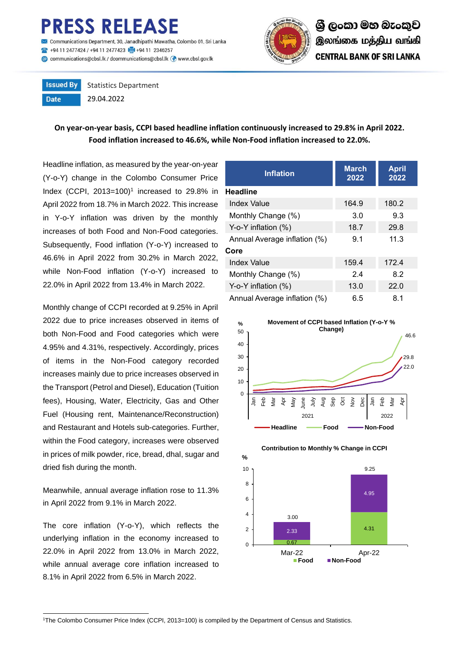## **ESS RELEASE**

nunications Department, 30, Janadhipathi Mawatha, Colombo 01, Sri Lanka 494 11 2477424 / +94 11 2477423 4 +94 11 2346257 Communications@cbsl.lk / dcommunications@cbsl.lk <a>
www.cbsl.gov.lk</a>
k



**Issued By** Statistics Department **Date** 29.04.2022

## **On year-on-year basis, CCPI based headline inflation continuously increased to 29.8% in April 2022. Food inflation increased to 46.6%, while Non-Food inflation increased to 22.0%.**

Headline inflation, as measured by the year-on-year (Y-o-Y) change in the Colombo Consumer Price Index (CCPI,  $2013=100$ <sup>1</sup> increased to  $29.8\%$  in April 2022 from 18.7% in March 2022. This increase in Y-o-Y inflation was driven by the monthly increases of both Food and Non-Food categories. Subsequently, Food inflation (Y-o-Y) increased to 46.6% in April 2022 from 30.2% in March 2022, while Non-Food inflation (Y-o-Y) increased to 22.0% in April 2022 from 13.4% in March 2022.

Monthly change of CCPI recorded at 9.25% in April 2022 due to price increases observed in items of both Non-Food and Food categories which were 4.95% and 4.31%, respectively. Accordingly, prices of items in the Non-Food category recorded increases mainly due to price increases observed in the Transport (Petrol and Diesel), Education (Tuition fees), Housing, Water, Electricity, Gas and Other Fuel (Housing rent, Maintenance/Reconstruction) and Restaurant and Hotels sub-categories. Further, within the Food category, increases were observed in prices of milk powder, rice, bread, dhal, sugar and dried fish during the month.

Meanwhile, annual average inflation rose to 11.3% in April 2022 from 9.1% in March 2022.

The core inflation (Y-o-Y), which reflects the underlying inflation in the economy increased to 22.0% in April 2022 from 13.0% in March 2022, while annual average core inflation increased to 8.1% in April 2022 from 6.5% in March 2022.

| <b>Inflation</b>             | <b>March</b><br>2022 | <b>April</b><br>2022 |  |  |  |  |
|------------------------------|----------------------|----------------------|--|--|--|--|
| <b>Headline</b>              |                      |                      |  |  |  |  |
| Index Value                  | 164.9                | 180.2                |  |  |  |  |
| Monthly Change (%)           | 3.0                  | 9.3                  |  |  |  |  |
| Y-o-Y inflation $(\%)$       | 18.7                 | 29.8                 |  |  |  |  |
| Annual Average inflation (%) | 9.1                  | 11.3                 |  |  |  |  |
| Core                         |                      |                      |  |  |  |  |
| Index Value                  | 159.4                | 172.4                |  |  |  |  |
| Monthly Change (%)           | 2.4                  | 8.2                  |  |  |  |  |
| Y-o-Y inflation $(\%)$       | 13.0                 | 22.0                 |  |  |  |  |
| Annual Average inflation (%) | 6.5                  | 8.1                  |  |  |  |  |





**Contribution to Monthly % Change in CCPI**

 $\overline{a}$ <sup>1</sup>The Colombo Consumer Price Index (CCPI, 2013=100) is compiled by the Department of Census and Statistics.